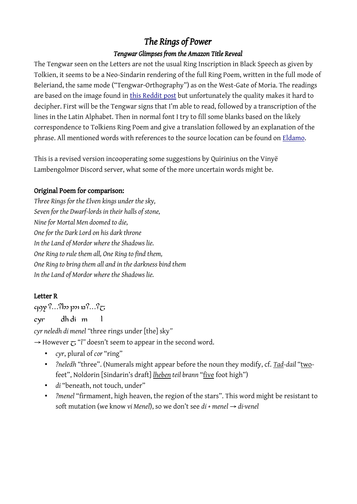# *The Rings of Power*

#### *Tengwar Glimpses from the Amazon Title Reveal*

The Tengwar seen on the Letters are not the usual Ring Inscription in Black Speech as given by Tolkien, it seems to be a Neo-Sindarin rendering of the full Ring Poem, written in the full mode of Beleriand, the same mode ("Tengwar-Orthography") as on the West-Gate of Moria. The readings are based on the image found in [this Reddit post](https://www.reddit.com/r/LOTR_on_Prime/comments/s95jwo/detailed_inscription_from_the_letters_of_the/) but unfortunately the quality makes it hard to decipher. First will be the Tengwar signs that I'm able to read, followed by a transcription of the lines in the Latin Alphabet. Then in normal font I try to fill some blanks based on the likely correspondence to Tolkiens Ring Poem and give a translation followed by an explanation of the phrase. All mentioned words with references to the source location can be found on [Eldamo](https://eldamo.org/content/search/search.html?neo).

This is a revised version incooperating some suggestions by Quirinius on the Vinyë Lambengolmor Discord server, what some of the more uncertain words might be.

#### Original Poem for comparison:

*Three Rings for the Elven kings under the sky, Seven for the Dwarf-lords in their halls of stone, Nine for Mortal Men doomed to die, One for the Dark Lord on his dark throne In the Land of Mordor where the Shadows lie. One Ring to rule them all, One Ring to find them, One Ring to bring them all and in the darkness bind them In the Land of Mordor where the Shadows lie.*

#### Letter R

 $q$ qqy?...?b p p  $p$   $p$ ?...? $\tau$ 

cyr dh di m l

*cyr neledh di menel "*three rings under [the] sky*"*

 $\rightarrow$  However  $\tau$  "*l*" doesn't seem to appear in the second word.

- *cyr*, plural of *cor* "ring"
- *?neledh* "three". (Numerals might appear before the noun they modify, cf. *Tad-dail* "twofeet", Noldorin [Sindarin's draft] *lheben teil brann* "five foot high")
- *di* "beneath, not touch, under"
- *?menel* "firmament, high heaven, the region of the stars". This word might be resistant to soft mutation (we know *vi Menel*), so we don't see *di + menel → di·venel*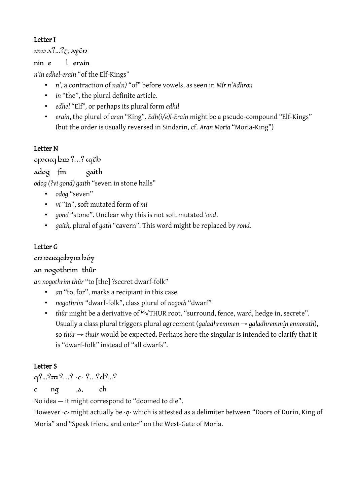### Letter I

 $\cos \lambda^2 ...^2$ T  $\cos$ 

nin e l erain

*n'in edhel-erain* "of the Elf-Kings"

- *n'*, a contraction of *na(n)* "of" before vowels, as seen in *Mîr n'Adhron*
- *in* "the", the plural definite article.
- *edhel* "Elf"*,* or perhaps its plural form *edhil*
- *erain*, the plural of *aran* "King". *Edh(i/e)l-Erain* might be a pseudo-compound "Elf-Kings" (but the order is usually reversed in Sindarin, cf. *Aran Moria* "Moria-King")

# Letter N

cpsacq bm?...? cqëb

```
adog fm gaith
```
*odog (?vi gond) gaith* "seven in stone halls"

- *odog* "seven"
- *vi* "in", soft mutated form of *mi*
- *gond* "stone". Unclear why this is not soft mutated *'ond*.
- *gaith,* plural of *gath* "cavern". This word might be replaced by *rond.*

# Letter G

cn netercychyn hóy

# an nogothrim thûr

*an nogothrim thûr* "to [the] ?secret dwarf-folk"

- *an* "to, for", marks a recipiant in this case
- *nogothrim* "dwarf-folk", class plural of *nogoth* "dwarf"
- *thûr* might be a derivative of <sup>M</sup>√THUR root. "surround, fence, ward, hedge in, secrete". Usually a class plural triggers plural agreement (*galadhremmen → galadhremmin ennorath*), so *thûr → thuir* would be expected. Perhaps here the singular is intended to clarify that it is "dwarf-folk" instead of "all dwarfs".

#### Letter S

cq?...? are ?...? .c. ?...? d?...?

c ng ,a, ch

No idea — it might correspond to "doomed to die".

However ·c· might actually be ·o· which is attested as a delimiter between "Doors of Durin, King of Moria" and "Speak friend and enter" on the West-Gate of Moria.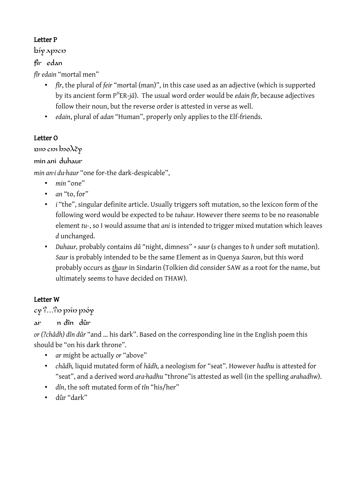#### Letter P

biyappcn

#### fîr edan

*fîr edain* "mortal men"

- *fîr*, the plural of *feir* "mortal (man)", in this case used as an adjective (which is supported by its ancient form P<sup>H</sup>ER-jā). The usual word order would be *edain fîr,* because adjectives follow their noun, but the reverse order is attested in verse as well.
- *edain*, plural of *adan* "Human", properly only applies to the Elf-friends.

#### Letter O

pin cm bodey

### min ani duhaur

*min an·i du·haur* "one for-the dark-despicable",

- *min* "one"
- *an* "to, for"
- *i* "the", singular definite article. Usually triggers soft mutation, so the lexicon form of the following word would be expected to be *tuhaur.* However there seems to be no reasonable element *tu-*, so I would assume that *ani* is intended to trigger mixed mutation which leaves *d* unchanged.
- *Duhaur,* probably contains *dû* "night, dimness" *+ saur* (*s* changes to *h* under soft mutation). *Saur* is probably intended to be the same Element as in Quenya *Sauron*, but this word probably occurs as *thaur* in Sindarin (Tolkien did consider SAW as a root for the name, but ultimately seems to have decided on THAW).

# Letter W

cy ?...?n poin poóy

ar n dîn dûr

*or (?châdh) dîn dûr* "and … his dark". Based on the corresponding line in the English poem this should be "on his dark throne".

- *ar* might be actually *or* "above"
- *châdh,* liquid mutated form of *hâdh,* a neologism for "seat". However *hadhu* is attested for "seat", and a derived word *ara·hadhu* "throne"is attested as well (in the spelling *arahadhw*).
- *dîn*, the soft mutated form of *tîn* "his/her"
- dûr "dark"